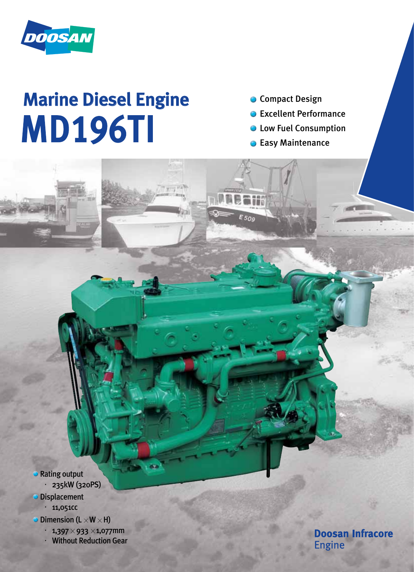

# Marine Diesel Engine MD196TI

**Compact Design** 

- Excellent Performance
- Low Fuel Consumption
- Easy Maintenance  $\bullet$

E 50g

**Rating output** ·235kW (320PS)

**Displacement** 

 $. 11,051$ cc

- $\bullet$  Dimension (L  $\times$  W  $\times$  H)
	- $\cdot$  1,397  $\times$  933  $\times$ 1,077mm

**Without Reduction Gear** 

**Doosan Infracore Engine**